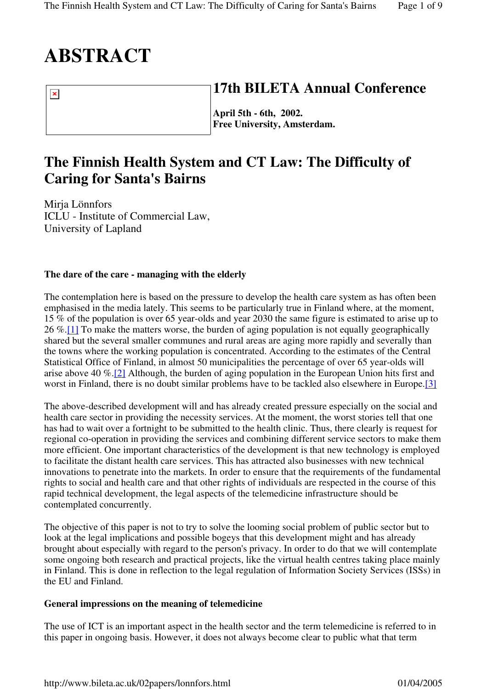# **ABSTRACT**

 $\pmb{\times}$ 

**17th BILETA Annual Conference**

**April 5th - 6th, 2002. Free University, Amsterdam.**

# **The Finnish Health System and CT Law: The Difficulty of Caring for Santa's Bairns**

Mirja Lönnfors ICLU - Institute of Commercial Law, University of Lapland

# **The dare of the care - managing with the elderly**

The contemplation here is based on the pressure to develop the health care system as has often been emphasised in the media lately. This seems to be particularly true in Finland where, at the moment, 15 % of the population is over 65 year-olds and year 2030 the same figure is estimated to arise up to 26 %.[1] To make the matters worse, the burden of aging population is not equally geographically shared but the several smaller communes and rural areas are aging more rapidly and severally than the towns where the working population is concentrated. According to the estimates of the Central Statistical Office of Finland, in almost 50 municipalities the percentage of over 65 year-olds will arise above 40 %.[2] Although, the burden of aging population in the European Union hits first and worst in Finland, there is no doubt similar problems have to be tackled also elsewhere in Europe.<sup>[3]</sup>

The above-described development will and has already created pressure especially on the social and health care sector in providing the necessity services. At the moment, the worst stories tell that one has had to wait over a fortnight to be submitted to the health clinic. Thus, there clearly is request for regional co-operation in providing the services and combining different service sectors to make them more efficient. One important characteristics of the development is that new technology is employed to facilitate the distant health care services. This has attracted also businesses with new technical innovations to penetrate into the markets. In order to ensure that the requirements of the fundamental rights to social and health care and that other rights of individuals are respected in the course of this rapid technical development, the legal aspects of the telemedicine infrastructure should be contemplated concurrently.

The objective of this paper is not to try to solve the looming social problem of public sector but to look at the legal implications and possible bogeys that this development might and has already brought about especially with regard to the person's privacy. In order to do that we will contemplate some ongoing both research and practical projects, like the virtual health centres taking place mainly in Finland. This is done in reflection to the legal regulation of Information Society Services (ISSs) in the EU and Finland.

# **General impressions on the meaning of telemedicine**

The use of ICT is an important aspect in the health sector and the term telemedicine is referred to in this paper in ongoing basis. However, it does not always become clear to public what that term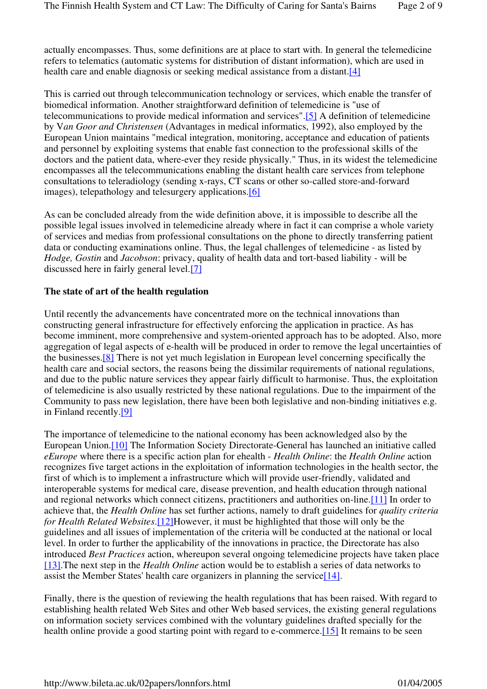actually encompasses. Thus, some definitions are at place to start with. In general the telemedicine refers to telematics (automatic systems for distribution of distant information), which are used in health care and enable diagnosis or seeking medical assistance from a distant.<sup>[4]</sup>

This is carried out through telecommunication technology or services, which enable the transfer of biomedical information. Another straightforward definition of telemedicine is "use of telecommunications to provide medical information and services".[5] A definition of telemedicine by V*an Goor and Christensen* (Advantages in medical informatics, 1992), also employed by the European Union maintains "medical integration, monitoring, acceptance and education of patients and personnel by exploiting systems that enable fast connection to the professional skills of the doctors and the patient data, where-ever they reside physically." Thus, in its widest the telemedicine encompasses all the telecommunications enabling the distant health care services from telephone consultations to teleradiology (sending x-rays, CT scans or other so-called store-and-forward images), telepathology and telesurgery applications.[6]

As can be concluded already from the wide definition above, it is impossible to describe all the possible legal issues involved in telemedicine already where in fact it can comprise a whole variety of services and medias from professional consultations on the phone to directly transferring patient data or conducting examinations online. Thus, the legal challenges of telemedicine - as listed by *Hodge, Gostin* and *Jacobson*: privacy, quality of health data and tort-based liability - will be discussed here in fairly general level.[7]

#### **The state of art of the health regulation**

Until recently the advancements have concentrated more on the technical innovations than constructing general infrastructure for effectively enforcing the application in practice. As has become imminent, more comprehensive and system-oriented approach has to be adopted. Also, more aggregation of legal aspects of e-health will be produced in order to remove the legal uncertainties of the businesses.[8] There is not yet much legislation in European level concerning specifically the health care and social sectors, the reasons being the dissimilar requirements of national regulations, and due to the public nature services they appear fairly difficult to harmonise. Thus, the exploitation of telemedicine is also usually restricted by these national regulations. Due to the impairment of the Community to pass new legislation, there have been both legislative and non-binding initiatives e.g. in Finland recently.[9]

The importance of telemedicine to the national economy has been acknowledged also by the European Union.[10] The Information Society Directorate-General has launched an initiative called *eEurope* where there is a specific action plan for ehealth - *Health Online*: the *Health Online* action recognizes five target actions in the exploitation of information technologies in the health sector, the first of which is to implement a infrastructure which will provide user-friendly, validated and interoperable systems for medical care, disease prevention, and health education through national and regional networks which connect citizens, practitioners and authorities on-line.[11] In order to achieve that, the *Health Online* has set further actions, namely to draft guidelines for *quality criteria for Health Related Websites*.[12]However, it must be highlighted that those will only be the guidelines and all issues of implementation of the criteria will be conducted at the national or local level. In order to further the applicability of the innovations in practice, the Directorate has also introduced *Best Practices* action, whereupon several ongoing telemedicine projects have taken place [13].The next step in the *Health Online* action would be to establish a series of data networks to assist the Member States' health care organizers in planning the service[14].

Finally, there is the question of reviewing the health regulations that has been raised. With regard to establishing health related Web Sites and other Web based services, the existing general regulations on information society services combined with the voluntary guidelines drafted specially for the health online provide a good starting point with regard to e-commerce.<sup>[15]</sup> It remains to be seen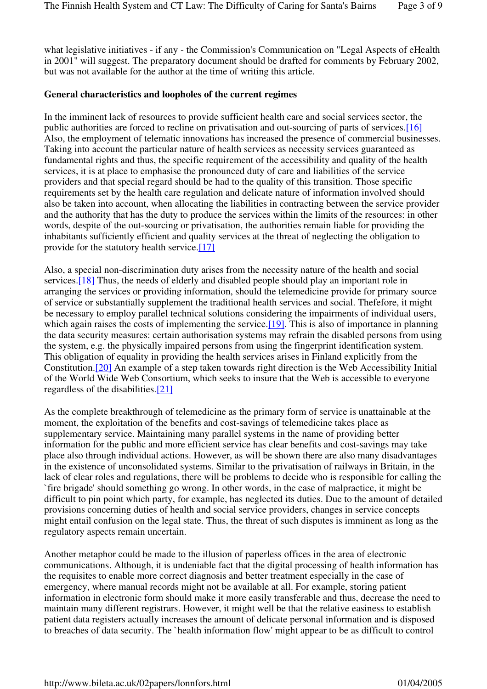what legislative initiatives - if any - the Commission's Communication on "Legal Aspects of eHealth in 2001" will suggest. The preparatory document should be drafted for comments by February 2002, but was not available for the author at the time of writing this article.

#### **General characteristics and loopholes of the current regimes**

In the imminent lack of resources to provide sufficient health care and social services sector, the public authorities are forced to recline on privatisation and out-sourcing of parts of services.[16] Also, the employment of telematic innovations has increased the presence of commercial businesses. Taking into account the particular nature of health services as necessity services guaranteed as fundamental rights and thus, the specific requirement of the accessibility and quality of the health services, it is at place to emphasise the pronounced duty of care and liabilities of the service providers and that special regard should be had to the quality of this transition. Those specific requirements set by the health care regulation and delicate nature of information involved should also be taken into account, when allocating the liabilities in contracting between the service provider and the authority that has the duty to produce the services within the limits of the resources: in other words, despite of the out-sourcing or privatisation, the authorities remain liable for providing the inhabitants sufficiently efficient and quality services at the threat of neglecting the obligation to provide for the statutory health service.[17]

Also, a special non-discrimination duty arises from the necessity nature of the health and social services.[18] Thus, the needs of elderly and disabled people should play an important role in arranging the services or providing information, should the telemedicine provide for primary source of service or substantially supplement the traditional health services and social. Thefefore, it might be necessary to employ parallel technical solutions considering the impairments of individual users, which again raises the costs of implementing the service. [19]. This is also of importance in planning the data security measures: certain authorisation systems may refrain the disabled persons from using the system, e.g. the physically impaired persons from using the fingerprint identification system. This obligation of equality in providing the health services arises in Finland explicitly from the Constitution.[20] An example of a step taken towards right direction is the Web Accessibility Initial of the World Wide Web Consortium, which seeks to insure that the Web is accessible to everyone regardless of the disabilities.[21]

As the complete breakthrough of telemedicine as the primary form of service is unattainable at the moment, the exploitation of the benefits and cost-savings of telemedicine takes place as supplementary service. Maintaining many parallel systems in the name of providing better information for the public and more efficient service has clear benefits and cost-savings may take place also through individual actions. However, as will be shown there are also many disadvantages in the existence of unconsolidated systems. Similar to the privatisation of railways in Britain, in the lack of clear roles and regulations, there will be problems to decide who is responsible for calling the `fire brigade' should something go wrong. In other words, in the case of malpractice, it might be difficult to pin point which party, for example, has neglected its duties. Due to the amount of detailed provisions concerning duties of health and social service providers, changes in service concepts might entail confusion on the legal state. Thus, the threat of such disputes is imminent as long as the regulatory aspects remain uncertain.

Another metaphor could be made to the illusion of paperless offices in the area of electronic communications. Although, it is undeniable fact that the digital processing of health information has the requisites to enable more correct diagnosis and better treatment especially in the case of emergency, where manual records might not be available at all. For example, storing patient information in electronic form should make it more easily transferable and thus, decrease the need to maintain many different registrars. However, it might well be that the relative easiness to establish patient data registers actually increases the amount of delicate personal information and is disposed to breaches of data security. The `health information flow' might appear to be as difficult to control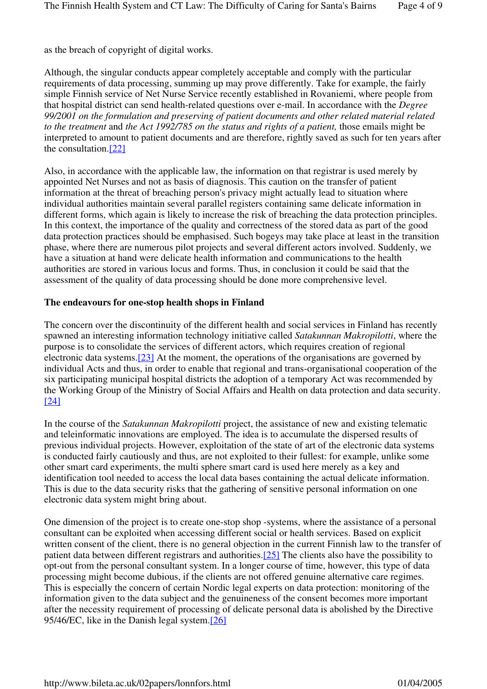as the breach of copyright of digital works.

Although, the singular conducts appear completely acceptable and comply with the particular requirements of data processing, summing up may prove differently. Take for example, the fairly simple Finnish service of Net Nurse Service recently established in Rovaniemi, where people from that hospital district can send health-related questions over e-mail. In accordance with the *Degree 99/2001 on the formulation and preserving of patient documents and other related material related to the treatment* and *the Act 1992/785 on the status and rights of a patient,* those emails might be interpreted to amount to patient documents and are therefore, rightly saved as such for ten years after the consultation.[22]

Also, in accordance with the applicable law, the information on that registrar is used merely by appointed Net Nurses and not as basis of diagnosis. This caution on the transfer of patient information at the threat of breaching person's privacy might actually lead to situation where individual authorities maintain several parallel registers containing same delicate information in different forms, which again is likely to increase the risk of breaching the data protection principles. In this context, the importance of the quality and correctness of the stored data as part of the good data protection practices should be emphasised. Such bogeys may take place at least in the transition phase, where there are numerous pilot projects and several different actors involved. Suddenly, we have a situation at hand were delicate health information and communications to the health authorities are stored in various locus and forms. Thus, in conclusion it could be said that the assessment of the quality of data processing should be done more comprehensive level.

### **The endeavours for one-stop health shops in Finland**

The concern over the discontinuity of the different health and social services in Finland has recently spawned an interesting information technology initiative called *Satakunnan Makropilotti*, where the purpose is to consolidate the services of different actors, which requires creation of regional electronic data systems.[23] At the moment, the operations of the organisations are governed by individual Acts and thus, in order to enable that regional and trans-organisational cooperation of the six participating municipal hospital districts the adoption of a temporary Act was recommended by the Working Group of the Ministry of Social Affairs and Health on data protection and data security. [24]

In the course of the *Satakunnan Makropilotti* project, the assistance of new and existing telematic and teleinformatic innovations are employed. The idea is to accumulate the dispersed results of previous individual projects. However, exploitation of the state of art of the electronic data systems is conducted fairly cautiously and thus, are not exploited to their fullest: for example, unlike some other smart card experiments, the multi sphere smart card is used here merely as a key and identification tool needed to access the local data bases containing the actual delicate information. This is due to the data security risks that the gathering of sensitive personal information on one electronic data system might bring about.

One dimension of the project is to create one-stop shop -systems, where the assistance of a personal consultant can be exploited when accessing different social or health services. Based on explicit written consent of the client, there is no general objection in the current Finnish law to the transfer of patient data between different registrars and authorities.[25] The clients also have the possibility to opt-out from the personal consultant system. In a longer course of time, however, this type of data processing might become dubious, if the clients are not offered genuine alternative care regimes. This is especially the concern of certain Nordic legal experts on data protection: monitoring of the information given to the data subject and the genuineness of the consent becomes more important after the necessity requirement of processing of delicate personal data is abolished by the Directive 95/46/EC, like in the Danish legal system.[26]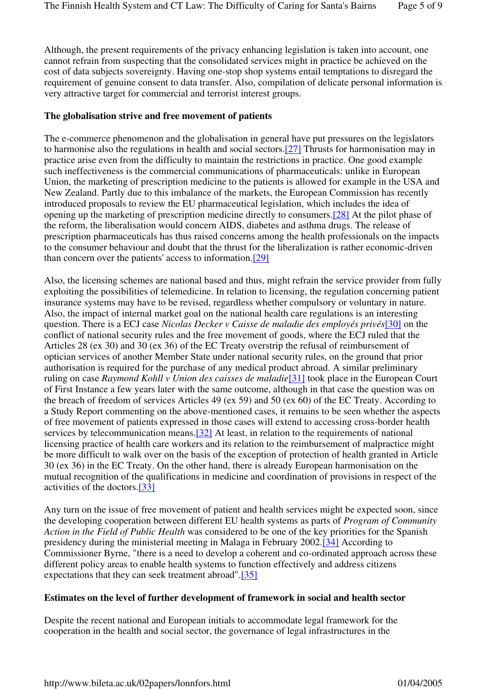Although, the present requirements of the privacy enhancing legislation is taken into account, one cannot refrain from suspecting that the consolidated services might in practice be achieved on the cost of data subjects sovereignty. Having one-stop shop systems entail temptations to disregard the requirement of genuine consent to data transfer. Also, compilation of delicate personal information is very attractive target for commercial and terrorist interest groups.

## **The globalisation strive and free movement of patients**

The e-commerce phenomenon and the globalisation in general have put pressures on the legislators to harmonise also the regulations in health and social sectors.[27] Thrusts for harmonisation may in practice arise even from the difficulty to maintain the restrictions in practice. One good example such ineffectiveness is the commercial communications of pharmaceuticals: unlike in European Union, the marketing of prescription medicine to the patients is allowed for example in the USA and New Zealand. Partly due to this imbalance of the markets, the European Commission has recently introduced proposals to review the EU pharmaceutical legislation, which includes the idea of opening up the marketing of prescription medicine directly to consumers.[28] At the pilot phase of the reform, the liberalisation would concern AIDS, diabetes and asthma drugs. The release of prescription pharmaceuticals has thus raised concerns among the health professionals on the impacts to the consumer behaviour and doubt that the thrust for the liberalization is rather economic-driven than concern over the patients' access to information.[29]

Also, the licensing schemes are national based and thus, might refrain the service provider from fully exploiting the possibilities of telemedicine. In relation to licensing, the regulation concerning patient insurance systems may have to be revised, regardless whether compulsory or voluntary in nature. Also, the impact of internal market goal on the national health care regulations is an interesting question. There is a ECJ case *Nicolas Decker v Caisse de maladie des employés privés*[30] on the conflict of national security rules and the free movement of goods, where the ECJ ruled that the Articles 28 (ex 30) and 30 (ex 36) of the EC Treaty overstrip the refusal of reimbursement of optician services of another Member State under national security rules, on the ground that prior authorisation is required for the purchase of any medical product abroad. A similar preliminary ruling on case *Raymond Kohll v Union des caisses de maladie*[31] took place in the European Court of First Instance a few years later with the same outcome, although in that case the question was on the breach of freedom of services Articles 49 (ex 59) and 50 (ex 60) of the EC Treaty. According to a Study Report commenting on the above-mentioned cases, it remains to be seen whether the aspects of free movement of patients expressed in those cases will extend to accessing cross-border health services by telecommunication means.<sup>[32]</sup> At least, in relation to the requirements of national licensing practice of health care workers and its relation to the reimbursement of malpractice might be more difficult to walk over on the basis of the exception of protection of health granted in Article 30 (ex 36) in the EC Treaty. On the other hand, there is already European harmonisation on the mutual recognition of the qualifications in medicine and coordination of provisions in respect of the activities of the doctors.[33]

Any turn on the issue of free movement of patient and health services might be expected soon, since the developing cooperation between different EU health systems as parts of *Program of Community Action in the Field of Public Health* was considered to be one of the key priorities for the Spanish presidency during the ministerial meeting in Malaga in February 2002.[34] According to Commissioner Byrne, "there is a need to develop a coherent and co-ordinated approach across these different policy areas to enable health systems to function effectively and address citizens expectations that they can seek treatment abroad".[35]

#### **Estimates on the level of further development of framework in social and health sector**

Despite the recent national and European initials to accommodate legal framework for the cooperation in the health and social sector, the governance of legal infrastructures in the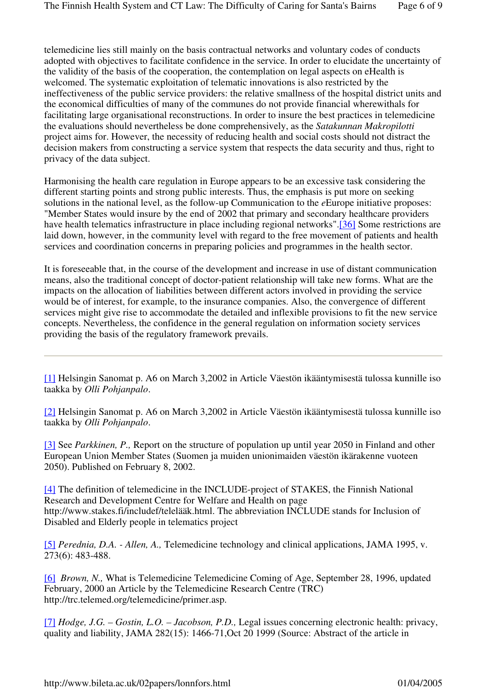telemedicine lies still mainly on the basis contractual networks and voluntary codes of conducts adopted with objectives to facilitate confidence in the service. In order to elucidate the uncertainty of the validity of the basis of the cooperation, the contemplation on legal aspects on eHealth is welcomed. The systematic exploitation of telematic innovations is also restricted by the ineffectiveness of the public service providers: the relative smallness of the hospital district units and the economical difficulties of many of the communes do not provide financial wherewithals for facilitating large organisational reconstructions. In order to insure the best practices in telemedicine the evaluations should nevertheless be done comprehensively, as the *Satakunnan Makropilotti* project aims for. However, the necessity of reducing health and social costs should not distract the decision makers from constructing a service system that respects the data security and thus, right to privacy of the data subject.

Harmonising the health care regulation in Europe appears to be an excessive task considering the different starting points and strong public interests. Thus, the emphasis is put more on seeking solutions in the national level, as the follow-up Communication to the *e*Europe initiative proposes: "Member States would insure by the end of 2002 that primary and secondary healthcare providers have health telematics infrastructure in place including regional networks".[36] Some restrictions are laid down, however, in the community level with regard to the free movement of patients and health services and coordination concerns in preparing policies and programmes in the health sector.

It is foreseeable that, in the course of the development and increase in use of distant communication means, also the traditional concept of doctor-patient relationship will take new forms. What are the impacts on the allocation of liabilities between different actors involved in providing the service would be of interest, for example, to the insurance companies. Also, the convergence of different services might give rise to accommodate the detailed and inflexible provisions to fit the new service concepts. Nevertheless, the confidence in the general regulation on information society services providing the basis of the regulatory framework prevails.

[1] Helsingin Sanomat p. A6 on March 3,2002 in Article Väestön ikääntymisestä tulossa kunnille iso taakka by *Olli Pohjanpalo*.

[2] Helsingin Sanomat p. A6 on March 3,2002 in Article Väestön ikääntymisestä tulossa kunnille iso taakka by *Olli Pohjanpalo*.

[3] See *Parkkinen, P.,* Report on the structure of population up until year 2050 in Finland and other European Union Member States (Suomen ja muiden unionimaiden väestön ikärakenne vuoteen 2050). Published on February 8, 2002.

[4] The definition of telemedicine in the INCLUDE-project of STAKES, the Finnish National Research and Development Centre for Welfare and Health on page http://www.stakes.fi/includef/telelääk.html. The abbreviation INCLUDE stands for Inclusion of Disabled and Elderly people in telematics project

[5] *Perednia, D.A. - Allen, A.,* Telemedicine technology and clinical applications, JAMA 1995, v. 273(6): 483-488.

[6] *Brown, N.,* What is Telemedicine Telemedicine Coming of Age, September 28, 1996, updated February, 2000 an Article by the Telemedicine Research Centre (TRC) http://trc.telemed.org/telemedicine/primer.asp.

[7] *Hodge, J.G. – Gostin, L.O. – Jacobson, P.D.,* Legal issues concerning electronic health: privacy, quality and liability, JAMA 282(15): 1466-71,Oct 20 1999 (Source: Abstract of the article in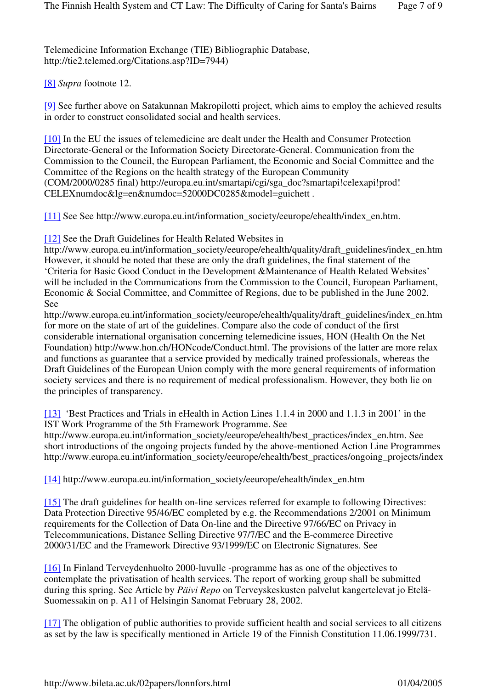[9] See further above on Satakunnan Makropilotti project, which aims to employ the achieved results in order to construct consolidated social and health services.

[10] In the EU the issues of telemedicine are dealt under the Health and Consumer Protection Directorate-General or the Information Society Directorate-General. Communication from the Commission to the Council, the European Parliament, the Economic and Social Committee and the Committee of the Regions on the health strategy of the European Community (COM/2000/0285 final) http://europa.eu.int/smartapi/cgi/sga\_doc?smartapi!celexapi!prod! CELEXnumdoc&lg=en&numdoc=52000DC0285&model=guichett .

[11] See See http://www.europa.eu.int/information\_society/eeurope/ehealth/index\_en.htm.

[12] See the Draft Guidelines for Health Related Websites in

http://www.europa.eu.int/information\_society/eeurope/ehealth/quality/draft\_guidelines/index\_en.htm However, it should be noted that these are only the draft guidelines, the final statement of the 'Criteria for Basic Good Conduct in the Development &Maintenance of Health Related Websites' will be included in the Communications from the Commission to the Council, European Parliament, Economic & Social Committee, and Committee of Regions, due to be published in the June 2002. See

http://www.europa.eu.int/information\_society/eeurope/ehealth/quality/draft\_guidelines/index\_en.htm for more on the state of art of the guidelines. Compare also the code of conduct of the first considerable international organisation concerning telemedicine issues, HON (Health On the Net Foundation) http://www.hon.ch/HONcode/Conduct.html. The provisions of the latter are more relax and functions as guarantee that a service provided by medically trained professionals, whereas the Draft Guidelines of the European Union comply with the more general requirements of information society services and there is no requirement of medical professionalism. However, they both lie on the principles of transparency.

[13] 'Best Practices and Trials in eHealth in Action Lines 1.1.4 in 2000 and 1.1.3 in 2001' in the IST Work Programme of the 5th Framework Programme. See

http://www.europa.eu.int/information\_society/eeurope/ehealth/best\_practices/index\_en.htm. See short introductions of the ongoing projects funded by the above-mentioned Action Line Programmes http://www.europa.eu.int/information\_society/eeurope/ehealth/best\_practices/ongoing\_projects/index

[14] http://www.europa.eu.int/information\_society/eeurope/ehealth/index\_en.htm

[15] The draft guidelines for health on-line services referred for example to following Directives: Data Protection Directive 95/46/EC completed by e.g. the Recommendations 2/2001 on Minimum requirements for the Collection of Data On-line and the Directive 97/66/EC on Privacy in Telecommunications, Distance Selling Directive 97/7/EC and the E-commerce Directive 2000/31/EC and the Framework Directive 93/1999/EC on Electronic Signatures. See

[16] In Finland Terveydenhuolto 2000-luvulle -programme has as one of the objectives to contemplate the privatisation of health services. The report of working group shall be submitted during this spring. See Article by *Päivi Repo* on Terveyskeskusten palvelut kangertelevat jo Etelä-Suomessakin on p. A11 of Helsingin Sanomat February 28, 2002.

[17] The obligation of public authorities to provide sufficient health and social services to all citizens as set by the law is specifically mentioned in Article 19 of the Finnish Constitution 11.06.1999/731.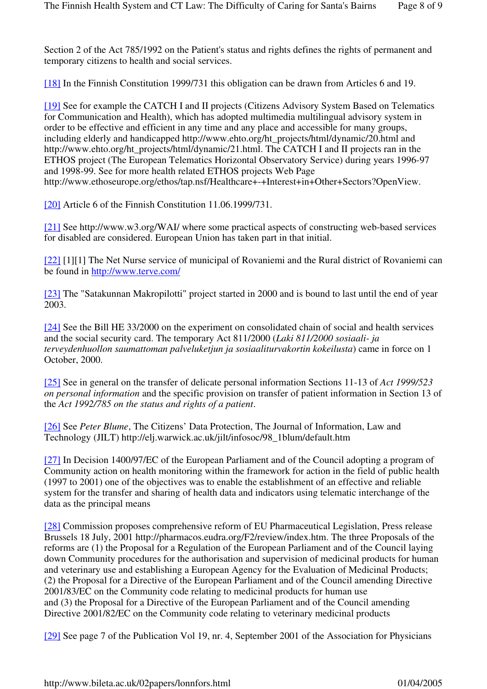Section 2 of the Act 785/1992 on the Patient's status and rights defines the rights of permanent and temporary citizens to health and social services.

[18] In the Finnish Constitution 1999/731 this obligation can be drawn from Articles 6 and 19.

[19] See for example the CATCH I and II projects (Citizens Advisory System Based on Telematics for Communication and Health), which has adopted multimedia multilingual advisory system in order to be effective and efficient in any time and any place and accessible for many groups, including elderly and handicapped http://www.ehto.org/ht\_projects/html/dynamic/20.html and http://www.ehto.org/ht\_projects/html/dynamic/21.html. The CATCH I and II projects ran in the ETHOS project (The European Telematics Horizontal Observatory Service) during years 1996-97 and 1998-99. See for more health related ETHOS projects Web Page http://www.ethoseurope.org/ethos/tap.nsf/Healthcare+-+Interest+in+Other+Sectors?OpenView.

[20] Article 6 of the Finnish Constitution 11.06.1999/731.

[21] See http://www.w3.org/WAI/ where some practical aspects of constructing web-based services for disabled are considered. European Union has taken part in that initial.

[22] [1][1] The Net Nurse service of municipal of Rovaniemi and the Rural district of Rovaniemi can be found in http://www.terve.com/

[23] The "Satakunnan Makropilotti" project started in 2000 and is bound to last until the end of year 2003.

[24] See the Bill HE 33/2000 on the experiment on consolidated chain of social and health services and the social security card. The temporary Act 811/2000 (*Laki 811/2000 sosiaali- ja terveydenhuollon saumattoman palveluketjun ja sosiaaliturvakortin kokeilusta*) came in force on 1 October, 2000.

[25] See in general on the transfer of delicate personal information Sections 11-13 of *Act 1999/523 on personal information* and the specific provision on transfer of patient information in Section 13 of the *Act 1992/785 on the status and rights of a patient*.

[26] See *Peter Blume*, The Citizens' Data Protection, The Journal of Information, Law and Technology (JILT) http://elj.warwick.ac.uk/jilt/infosoc/98\_1blum/default.htm

[27] In Decision 1400/97/EC of the European Parliament and of the Council adopting a program of Community action on health monitoring within the framework for action in the field of public health (1997 to 2001) one of the objectives was to enable the establishment of an effective and reliable system for the transfer and sharing of health data and indicators using telematic interchange of the data as the principal means

[28] Commission proposes comprehensive reform of EU Pharmaceutical Legislation, Press release Brussels 18 July, 2001 http://pharmacos.eudra.org/F2/review/index.htm. The three Proposals of the reforms are (1) the Proposal for a Regulation of the European Parliament and of the Council laying down Community procedures for the authorisation and supervision of medicinal products for human and veterinary use and establishing a European Agency for the Evaluation of Medicinal Products; (2) the Proposal for a Directive of the European Parliament and of the Council amending Directive 2001/83/EC on the Community code relating to medicinal products for human use and (3) the Proposal for a Directive of the European Parliament and of the Council amending Directive 2001/82/EC on the Community code relating to veterinary medicinal products

[29] See page 7 of the Publication Vol 19, nr. 4, September 2001 of the Association for Physicians